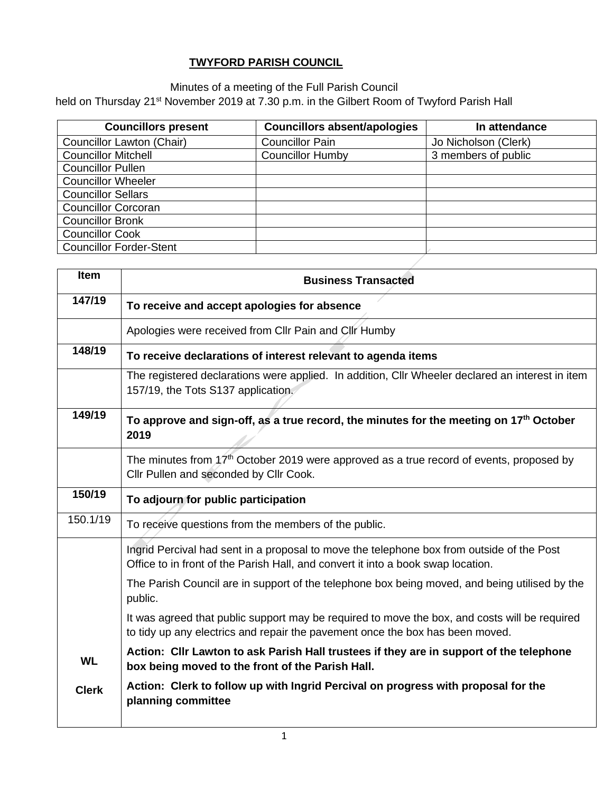## **TWYFORD PARISH COUNCIL**

Minutes of a meeting of the Full Parish Council

held on Thursday 21<sup>st</sup> November 2019 at 7.30 p.m. in the Gilbert Room of Twyford Parish Hall

| <b>Councillors present</b>       | <b>Councillors absent/apologies</b> | In attendance        |
|----------------------------------|-------------------------------------|----------------------|
| <b>Councillor Lawton (Chair)</b> | <b>Councillor Pain</b>              | Jo Nicholson (Clerk) |
| <b>Councillor Mitchell</b>       | <b>Councillor Humby</b>             | 3 members of public  |
| <b>Councillor Pullen</b>         |                                     |                      |
| <b>Councillor Wheeler</b>        |                                     |                      |
| <b>Councillor Sellars</b>        |                                     |                      |
| <b>Councillor Corcoran</b>       |                                     |                      |
| <b>Councillor Bronk</b>          |                                     |                      |
| <b>Councillor Cook</b>           |                                     |                      |
| <b>Councillor Forder-Stent</b>   |                                     |                      |

| <b>Item</b>  | <b>Business Transacted</b>                                                                                                                                                     |
|--------------|--------------------------------------------------------------------------------------------------------------------------------------------------------------------------------|
| 147/19       | To receive and accept apologies for absence                                                                                                                                    |
|              | Apologies were received from Cllr Pain and Cllr Humby                                                                                                                          |
| 148/19       | To receive declarations of interest relevant to agenda items                                                                                                                   |
|              | The registered declarations were applied. In addition, Cllr Wheeler declared an interest in item<br>157/19, the Tots S137 application.                                         |
| 149/19       | To approve and sign-off, as a true record, the minutes for the meeting on 17 <sup>th</sup> October<br>2019                                                                     |
|              | The minutes from $17th$ October 2019 were approved as a true record of events, proposed by<br>Cllr Pullen and seconded by Cllr Cook.                                           |
| 150/19       | To adjourn for public participation                                                                                                                                            |
| 150.1/19     | To receive questions from the members of the public.                                                                                                                           |
|              | Ingrid Percival had sent in a proposal to move the telephone box from outside of the Post<br>Office to in front of the Parish Hall, and convert it into a book swap location.  |
|              | The Parish Council are in support of the telephone box being moved, and being utilised by the<br>public.                                                                       |
|              | It was agreed that public support may be required to move the box, and costs will be required<br>to tidy up any electrics and repair the pavement once the box has been moved. |
| <b>WL</b>    | Action: Cllr Lawton to ask Parish Hall trustees if they are in support of the telephone<br>box being moved to the front of the Parish Hall.                                    |
| <b>Clerk</b> | Action: Clerk to follow up with Ingrid Percival on progress with proposal for the<br>planning committee                                                                        |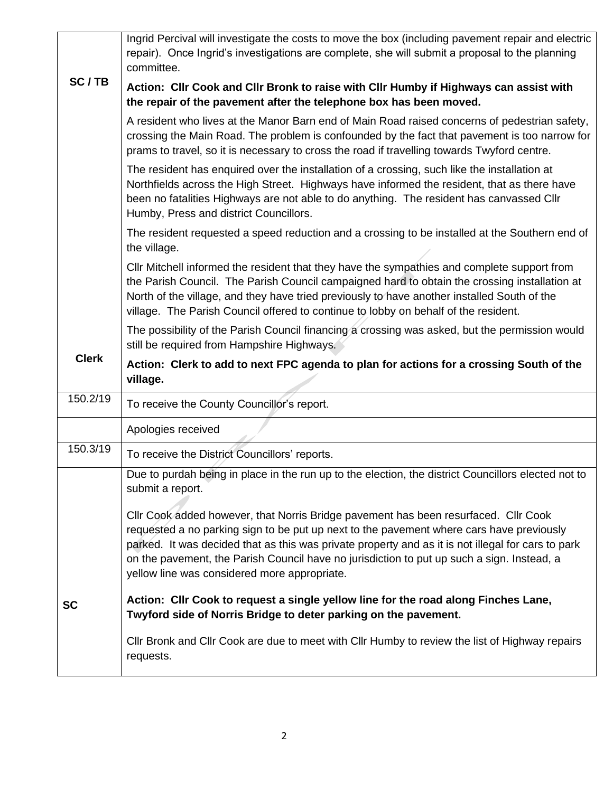|              | Ingrid Percival will investigate the costs to move the box (including pavement repair and electric<br>repair). Once Ingrid's investigations are complete, she will submit a proposal to the planning<br>committee.                                                                                                                                                                                                                  |
|--------------|-------------------------------------------------------------------------------------------------------------------------------------------------------------------------------------------------------------------------------------------------------------------------------------------------------------------------------------------------------------------------------------------------------------------------------------|
| SC/TB        | Action: Cllr Cook and Cllr Bronk to raise with Cllr Humby if Highways can assist with<br>the repair of the pavement after the telephone box has been moved.                                                                                                                                                                                                                                                                         |
|              | A resident who lives at the Manor Barn end of Main Road raised concerns of pedestrian safety,<br>crossing the Main Road. The problem is confounded by the fact that pavement is too narrow for<br>prams to travel, so it is necessary to cross the road if travelling towards Twyford centre.                                                                                                                                       |
|              | The resident has enquired over the installation of a crossing, such like the installation at<br>Northfields across the High Street. Highways have informed the resident, that as there have<br>been no fatalities Highways are not able to do anything. The resident has canvassed Cllr<br>Humby, Press and district Councillors.                                                                                                   |
|              | The resident requested a speed reduction and a crossing to be installed at the Southern end of<br>the village.                                                                                                                                                                                                                                                                                                                      |
|              | Cllr Mitchell informed the resident that they have the sympathies and complete support from<br>the Parish Council. The Parish Council campaigned hard to obtain the crossing installation at<br>North of the village, and they have tried previously to have another installed South of the<br>village. The Parish Council offered to continue to lobby on behalf of the resident.                                                  |
|              | The possibility of the Parish Council financing a crossing was asked, but the permission would<br>still be required from Hampshire Highways.                                                                                                                                                                                                                                                                                        |
|              |                                                                                                                                                                                                                                                                                                                                                                                                                                     |
| <b>Clerk</b> | Action: Clerk to add to next FPC agenda to plan for actions for a crossing South of the<br>village.                                                                                                                                                                                                                                                                                                                                 |
| 150.2/19     | To receive the County Councillor's report.                                                                                                                                                                                                                                                                                                                                                                                          |
|              | Apologies received                                                                                                                                                                                                                                                                                                                                                                                                                  |
| 150.3/19     | To receive the District Councillors' reports.                                                                                                                                                                                                                                                                                                                                                                                       |
|              | Due to purdah being in place in the run up to the election, the district Councillors elected not to<br>submit a report.                                                                                                                                                                                                                                                                                                             |
|              | CIIr Cook added however, that Norris Bridge pavement has been resurfaced. CIIr Cook<br>requested a no parking sign to be put up next to the pavement where cars have previously<br>parked. It was decided that as this was private property and as it is not illegal for cars to park<br>on the pavement, the Parish Council have no jurisdiction to put up such a sign. Instead, a<br>yellow line was considered more appropriate. |
| <b>SC</b>    | Action: Cllr Cook to request a single yellow line for the road along Finches Lane,<br>Twyford side of Norris Bridge to deter parking on the pavement.                                                                                                                                                                                                                                                                               |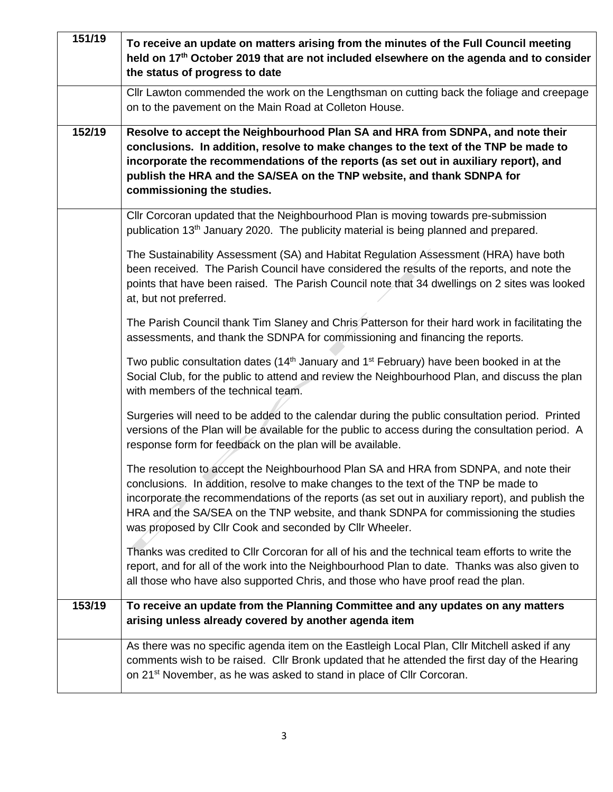| 151/19 | To receive an update on matters arising from the minutes of the Full Council meeting<br>held on 17 <sup>th</sup> October 2019 that are not included elsewhere on the agenda and to consider<br>the status of progress to date                                                                                                                                                                                                       |
|--------|-------------------------------------------------------------------------------------------------------------------------------------------------------------------------------------------------------------------------------------------------------------------------------------------------------------------------------------------------------------------------------------------------------------------------------------|
|        | Cllr Lawton commended the work on the Lengthsman on cutting back the foliage and creepage<br>on to the pavement on the Main Road at Colleton House.                                                                                                                                                                                                                                                                                 |
| 152/19 | Resolve to accept the Neighbourhood Plan SA and HRA from SDNPA, and note their<br>conclusions. In addition, resolve to make changes to the text of the TNP be made to<br>incorporate the recommendations of the reports (as set out in auxiliary report), and<br>publish the HRA and the SA/SEA on the TNP website, and thank SDNPA for<br>commissioning the studies.                                                               |
|        | Cllr Corcoran updated that the Neighbourhood Plan is moving towards pre-submission<br>publication 13 <sup>th</sup> January 2020. The publicity material is being planned and prepared.                                                                                                                                                                                                                                              |
|        | The Sustainability Assessment (SA) and Habitat Regulation Assessment (HRA) have both<br>been received. The Parish Council have considered the results of the reports, and note the<br>points that have been raised. The Parish Council note that 34 dwellings on 2 sites was looked<br>at, but not preferred.                                                                                                                       |
|        | The Parish Council thank Tim Slaney and Chris Patterson for their hard work in facilitating the<br>assessments, and thank the SDNPA for commissioning and financing the reports.                                                                                                                                                                                                                                                    |
|        | Two public consultation dates (14 <sup>th</sup> January and 1 <sup>st</sup> February) have been booked in at the<br>Social Club, for the public to attend and review the Neighbourhood Plan, and discuss the plan<br>with members of the technical team.                                                                                                                                                                            |
|        | Surgeries will need to be added to the calendar during the public consultation period. Printed<br>versions of the Plan will be available for the public to access during the consultation period. A<br>response form for feedback on the plan will be available.                                                                                                                                                                    |
|        | The resolution to accept the Neighbourhood Plan SA and HRA from SDNPA, and note their<br>conclusions. In addition, resolve to make changes to the text of the TNP be made to<br>incorporate the recommendations of the reports (as set out in auxiliary report), and publish the<br>HRA and the SA/SEA on the TNP website, and thank SDNPA for commissioning the studies<br>was proposed by Cllr Cook and seconded by Cllr Wheeler. |
|        | Thanks was credited to CIIr Corcoran for all of his and the technical team efforts to write the<br>report, and for all of the work into the Neighbourhood Plan to date. Thanks was also given to<br>all those who have also supported Chris, and those who have proof read the plan.                                                                                                                                                |
| 153/19 | To receive an update from the Planning Committee and any updates on any matters<br>arising unless already covered by another agenda item                                                                                                                                                                                                                                                                                            |
|        | As there was no specific agenda item on the Eastleigh Local Plan, Cllr Mitchell asked if any<br>comments wish to be raised. Cllr Bronk updated that he attended the first day of the Hearing<br>on 21 <sup>st</sup> November, as he was asked to stand in place of Cllr Corcoran.                                                                                                                                                   |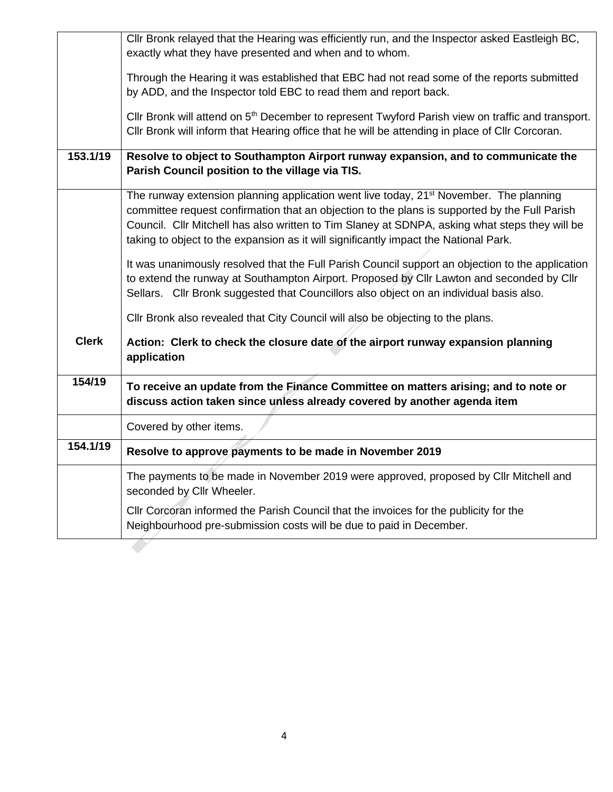|              | Cllr Bronk relayed that the Hearing was efficiently run, and the Inspector asked Eastleigh BC,                                                               |
|--------------|--------------------------------------------------------------------------------------------------------------------------------------------------------------|
|              | exactly what they have presented and when and to whom.                                                                                                       |
|              | Through the Hearing it was established that EBC had not read some of the reports submitted                                                                   |
|              | by ADD, and the Inspector told EBC to read them and report back.                                                                                             |
|              | Cllr Bronk will attend on 5 <sup>th</sup> December to represent Twyford Parish view on traffic and transport.                                                |
|              | Cllr Bronk will inform that Hearing office that he will be attending in place of Cllr Corcoran.                                                              |
| 153.1/19     | Resolve to object to Southampton Airport runway expansion, and to communicate the                                                                            |
|              | Parish Council position to the village via TIS.                                                                                                              |
|              | The runway extension planning application went live today, 21 <sup>st</sup> November. The planning                                                           |
|              | committee request confirmation that an objection to the plans is supported by the Full Parish                                                                |
|              | Council. Cllr Mitchell has also written to Tim Slaney at SDNPA, asking what steps they will be                                                               |
|              | taking to object to the expansion as it will significantly impact the National Park.                                                                         |
|              | It was unanimously resolved that the Full Parish Council support an objection to the application                                                             |
|              | to extend the runway at Southampton Airport. Proposed by Cllr Lawton and seconded by Cllr                                                                    |
|              | Sellars. Cllr Bronk suggested that Councillors also object on an individual basis also.                                                                      |
|              | Cllr Bronk also revealed that City Council will also be objecting to the plans.                                                                              |
| <b>Clerk</b> | Action: Clerk to check the closure date of the airport runway expansion planning<br>application                                                              |
| 154/19       | To receive an update from the Finance Committee on matters arising; and to note or                                                                           |
|              | discuss action taken since unless already covered by another agenda item                                                                                     |
|              | Covered by other items.                                                                                                                                      |
| 154.1/19     | Resolve to approve payments to be made in November 2019                                                                                                      |
|              | The payments to be made in November 2019 were approved, proposed by Cllr Mitchell and<br>seconded by Cllr Wheeler.                                           |
|              | CIIr Corcoran informed the Parish Council that the invoices for the publicity for the<br>Neighbourhood pre-submission costs will be due to paid in December. |
|              |                                                                                                                                                              |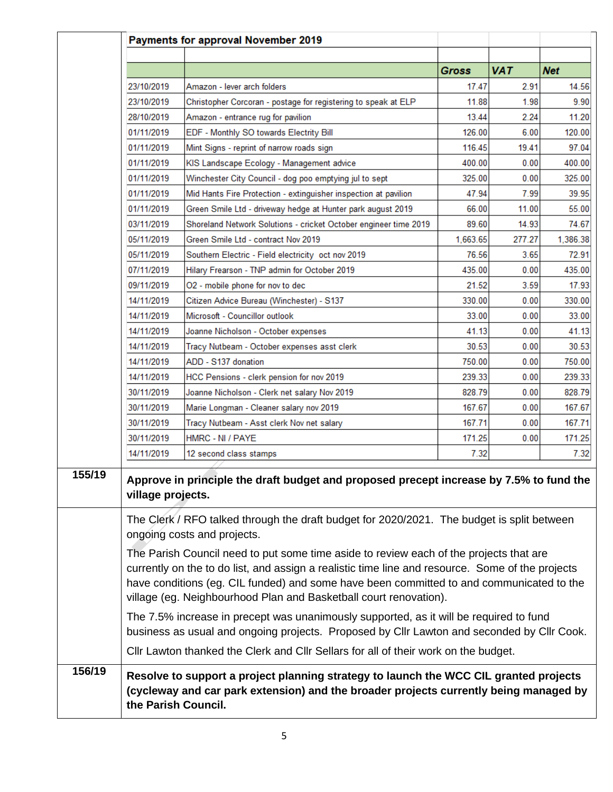|        |                     | Payments for approval November 2019                                                                                                                                            |              |            |            |
|--------|---------------------|--------------------------------------------------------------------------------------------------------------------------------------------------------------------------------|--------------|------------|------------|
|        |                     |                                                                                                                                                                                |              |            |            |
|        |                     |                                                                                                                                                                                | <b>Gross</b> | <b>VAT</b> | <b>Net</b> |
|        | 23/10/2019          | Amazon - lever arch folders                                                                                                                                                    | 17.47        | 2.91       | 14.56      |
|        | 23/10/2019          | Christopher Corcoran - postage for registering to speak at ELP                                                                                                                 | 11.88        | 1.98       | 9.90       |
|        | 28/10/2019          | Amazon - entrance rug for pavilion                                                                                                                                             | 13.44        | 2.24       | 11.20      |
|        | 01/11/2019          | EDF - Monthly SO towards Electrity Bill                                                                                                                                        | 126.00       | 6.00       | 120.00     |
|        | 01/11/2019          | Mint Signs - reprint of narrow roads sign                                                                                                                                      | 116.45       | 19.41      | 97.04      |
|        | 01/11/2019          | KIS Landscape Ecology - Management advice                                                                                                                                      | 400.00       | 0.00       | 400.00     |
|        | 01/11/2019          | Winchester City Council - dog poo emptying jul to sept                                                                                                                         | 325.00       | 0.00       | 325.00     |
|        | 01/11/2019          | Mid Hants Fire Protection - extinguisher inspection at pavilion                                                                                                                | 47.94        | 7.99       | 39.95      |
|        | 01/11/2019          | Green Smile Ltd - driveway hedge at Hunter park august 2019                                                                                                                    | 66.00        | 11.00      | 55.00      |
|        | 03/11/2019          | Shoreland Network Solutions - cricket October engineer time 2019                                                                                                               | 89.60        | 14.93      | 74.67      |
|        | 05/11/2019          | Green Smile Ltd - contract Nov 2019                                                                                                                                            | 1,663.65     | 277.27     | 1,386.38   |
|        | 05/11/2019          | Southern Electric - Field electricity oct nov 2019                                                                                                                             | 76.56        | 3.65       | 72.91      |
|        | 07/11/2019          | Hilary Frearson - TNP admin for October 2019                                                                                                                                   | 435.00       | 0.00       | 435.00     |
|        | 09/11/2019          | O2 - mobile phone for nov to dec                                                                                                                                               | 21.52        | 3.59       | 17.93      |
|        | 14/11/2019          | Citizen Advice Bureau (Winchester) - S137                                                                                                                                      | 330.00       | 0.00       | 330.00     |
|        | 14/11/2019          | Microsoft - Councillor outlook                                                                                                                                                 | 33.00        | 0.00       | 33.00      |
|        | 14/11/2019          | Joanne Nicholson - October expenses                                                                                                                                            | 41.13        | 0.00       | 41.13      |
|        | 14/11/2019          | Tracy Nutbeam - October expenses asst clerk                                                                                                                                    | 30.53        | 0.00       | 30.53      |
|        | 14/11/2019          | ADD - S137 donation                                                                                                                                                            | 750.00       | 0.00       | 750.00     |
|        | 14/11/2019          | HCC Pensions - clerk pension for nov 2019                                                                                                                                      | 239.33       | 0.00       | 239.33     |
|        | 30/11/2019          | Joanne Nicholson - Clerk net salary Nov 2019                                                                                                                                   | 828.79       | 0.00       | 828.79     |
|        | 30/11/2019          | Marie Longman - Cleaner salary nov 2019                                                                                                                                        | 167.67       | 0.00       | 167.67     |
|        | 30/11/2019          | Tracy Nutbeam - Asst clerk Nov net salary                                                                                                                                      | 167.71       | 0.00       | 167.71     |
|        | 30/11/2019          | HMRC - NI / PAYE                                                                                                                                                               | 171.25       | 0.00       | 171.25     |
|        | 14/11/2019          | 12 second class stamps                                                                                                                                                         | 7.32         |            | 7.32       |
|        |                     |                                                                                                                                                                                |              |            |            |
|        | village projects.   | Approve in principle the draft budget and proposed precept increase by 7.5% to fund the                                                                                        |              |            |            |
|        |                     | The Clerk / RFO talked through the draft budget for 2020/2021. The budget is split between                                                                                     |              |            |            |
|        |                     | ongoing costs and projects.                                                                                                                                                    |              |            |            |
|        |                     | The Parish Council need to put some time aside to review each of the projects that are                                                                                         |              |            |            |
|        |                     | currently on the to do list, and assign a realistic time line and resource. Some of the projects                                                                               |              |            |            |
|        |                     | have conditions (eg. CIL funded) and some have been committed to and communicated to the                                                                                       |              |            |            |
|        |                     | village (eg. Neighbourhood Plan and Basketball court renovation).                                                                                                              |              |            |            |
|        |                     | The 7.5% increase in precept was unanimously supported, as it will be required to fund                                                                                         |              |            |            |
|        |                     | business as usual and ongoing projects. Proposed by Cllr Lawton and seconded by Cllr Cook.                                                                                     |              |            |            |
|        |                     | CIIr Lawton thanked the Clerk and CIIr Sellars for all of their work on the budget.                                                                                            |              |            |            |
| 156/19 | the Parish Council. | Resolve to support a project planning strategy to launch the WCC CIL granted projects<br>(cycleway and car park extension) and the broader projects currently being managed by |              |            |            |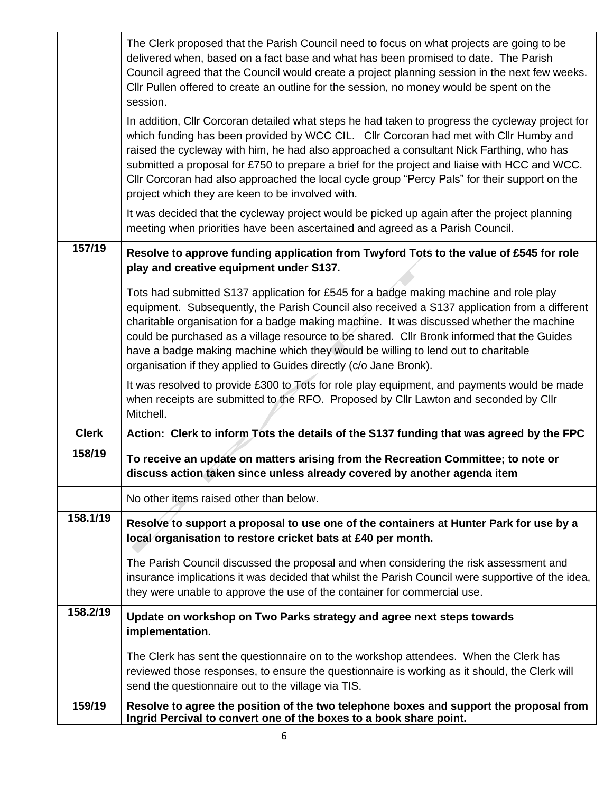|              | The Clerk proposed that the Parish Council need to focus on what projects are going to be<br>delivered when, based on a fact base and what has been promised to date. The Parish<br>Council agreed that the Council would create a project planning session in the next few weeks.<br>Cllr Pullen offered to create an outline for the session, no money would be spent on the<br>session.                                                                                                                                                  |
|--------------|---------------------------------------------------------------------------------------------------------------------------------------------------------------------------------------------------------------------------------------------------------------------------------------------------------------------------------------------------------------------------------------------------------------------------------------------------------------------------------------------------------------------------------------------|
|              | In addition, Cllr Corcoran detailed what steps he had taken to progress the cycleway project for<br>which funding has been provided by WCC CIL. Cllr Corcoran had met with Cllr Humby and<br>raised the cycleway with him, he had also approached a consultant Nick Farthing, who has<br>submitted a proposal for £750 to prepare a brief for the project and liaise with HCC and WCC.<br>Cllr Corcoran had also approached the local cycle group "Percy Pals" for their support on the<br>project which they are keen to be involved with. |
|              | It was decided that the cycleway project would be picked up again after the project planning<br>meeting when priorities have been ascertained and agreed as a Parish Council.                                                                                                                                                                                                                                                                                                                                                               |
| 157/19       | Resolve to approve funding application from Twyford Tots to the value of £545 for role<br>play and creative equipment under S137.                                                                                                                                                                                                                                                                                                                                                                                                           |
|              | Tots had submitted S137 application for £545 for a badge making machine and role play<br>equipment. Subsequently, the Parish Council also received a S137 application from a different<br>charitable organisation for a badge making machine. It was discussed whether the machine<br>could be purchased as a village resource to be shared. Cllr Bronk informed that the Guides<br>have a badge making machine which they would be willing to lend out to charitable<br>organisation if they applied to Guides directly (c/o Jane Bronk).  |
|              | It was resolved to provide £300 to Tots for role play equipment, and payments would be made<br>when receipts are submitted to the RFO. Proposed by Cllr Lawton and seconded by Cllr<br>Mitchell.                                                                                                                                                                                                                                                                                                                                            |
| <b>Clerk</b> | Action: Clerk to inform Tots the details of the S137 funding that was agreed by the FPC                                                                                                                                                                                                                                                                                                                                                                                                                                                     |
| 158/19       | To receive an update on matters arising from the Recreation Committee; to note or<br>discuss action taken since unless already covered by another agenda item                                                                                                                                                                                                                                                                                                                                                                               |
|              | No other items raised other than below.                                                                                                                                                                                                                                                                                                                                                                                                                                                                                                     |
| 158.1/19     | Resolve to support a proposal to use one of the containers at Hunter Park for use by a<br>local organisation to restore cricket bats at £40 per month.                                                                                                                                                                                                                                                                                                                                                                                      |
|              | The Parish Council discussed the proposal and when considering the risk assessment and<br>insurance implications it was decided that whilst the Parish Council were supportive of the idea,<br>they were unable to approve the use of the container for commercial use.                                                                                                                                                                                                                                                                     |
| 158.2/19     | Update on workshop on Two Parks strategy and agree next steps towards<br>implementation.                                                                                                                                                                                                                                                                                                                                                                                                                                                    |
|              | The Clerk has sent the questionnaire on to the workshop attendees. When the Clerk has<br>reviewed those responses, to ensure the questionnaire is working as it should, the Clerk will<br>send the questionnaire out to the village via TIS.                                                                                                                                                                                                                                                                                                |
| 159/19       | Resolve to agree the position of the two telephone boxes and support the proposal from<br>Ingrid Percival to convert one of the boxes to a book share point.                                                                                                                                                                                                                                                                                                                                                                                |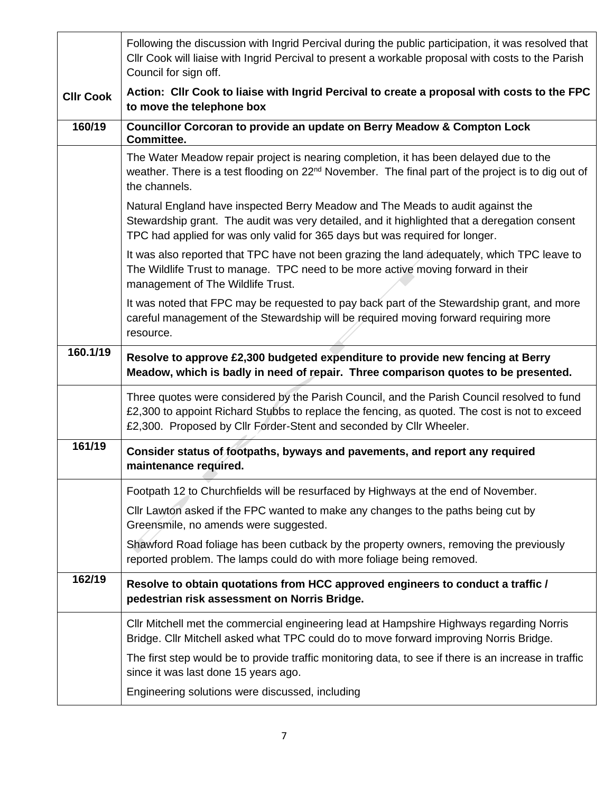|                  | Following the discussion with Ingrid Percival during the public participation, it was resolved that<br>Cllr Cook will liaise with Ingrid Percival to present a workable proposal with costs to the Parish<br>Council for sign off.                                  |
|------------------|---------------------------------------------------------------------------------------------------------------------------------------------------------------------------------------------------------------------------------------------------------------------|
| <b>CIIr Cook</b> | Action: Cllr Cook to liaise with Ingrid Percival to create a proposal with costs to the FPC<br>to move the telephone box                                                                                                                                            |
| 160/19           | Councillor Corcoran to provide an update on Berry Meadow & Compton Lock<br>Committee.                                                                                                                                                                               |
|                  | The Water Meadow repair project is nearing completion, it has been delayed due to the<br>weather. There is a test flooding on 22 <sup>nd</sup> November. The final part of the project is to dig out of<br>the channels.                                            |
|                  | Natural England have inspected Berry Meadow and The Meads to audit against the<br>Stewardship grant. The audit was very detailed, and it highlighted that a deregation consent<br>TPC had applied for was only valid for 365 days but was required for longer.      |
|                  | It was also reported that TPC have not been grazing the land adequately, which TPC leave to<br>The Wildlife Trust to manage. TPC need to be more active moving forward in their<br>management of The Wildlife Trust.                                                |
|                  | It was noted that FPC may be requested to pay back part of the Stewardship grant, and more<br>careful management of the Stewardship will be required moving forward requiring more<br>resource.                                                                     |
| 160.1/19         | Resolve to approve £2,300 budgeted expenditure to provide new fencing at Berry<br>Meadow, which is badly in need of repair. Three comparison quotes to be presented.                                                                                                |
|                  | Three quotes were considered by the Parish Council, and the Parish Council resolved to fund<br>£2,300 to appoint Richard Stubbs to replace the fencing, as quoted. The cost is not to exceed<br>£2,300. Proposed by Cllr Forder-Stent and seconded by Cllr Wheeler. |
| 161/19           | Consider status of footpaths, byways and pavements, and report any required<br>maintenance required.                                                                                                                                                                |
|                  | Footpath 12 to Churchfields will be resurfaced by Highways at the end of November.                                                                                                                                                                                  |
|                  | CIIr Lawton asked if the FPC wanted to make any changes to the paths being cut by<br>Greensmile, no amends were suggested.                                                                                                                                          |
|                  | Shawford Road foliage has been cutback by the property owners, removing the previously<br>reported problem. The lamps could do with more foliage being removed.                                                                                                     |
| 162/19           | Resolve to obtain quotations from HCC approved engineers to conduct a traffic /<br>pedestrian risk assessment on Norris Bridge.                                                                                                                                     |
|                  | Cllr Mitchell met the commercial engineering lead at Hampshire Highways regarding Norris<br>Bridge. Cllr Mitchell asked what TPC could do to move forward improving Norris Bridge.                                                                                  |
|                  | The first step would be to provide traffic monitoring data, to see if there is an increase in traffic<br>since it was last done 15 years ago.                                                                                                                       |
|                  | Engineering solutions were discussed, including                                                                                                                                                                                                                     |